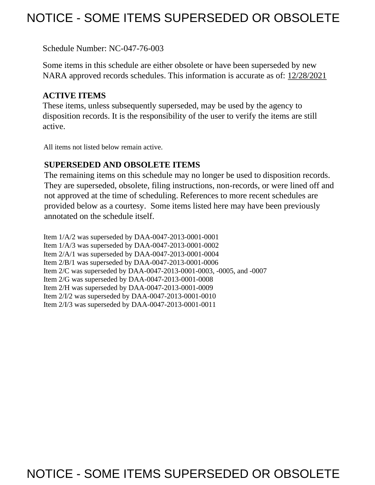# NOTICE - SOME ITEMS SUPERSEDED OR OBSOLETE

Schedule Number: NC-047-76-003

 Some items in this schedule are either obsolete or have been superseded by new NARA approved records schedules. This information is accurate as of: 12/28/2021

## **ACTIVE ITEMS**

 These items, unless subsequently superseded, may be used by the agency to disposition records. It is the responsibility of the user to verify the items are still active.

All items not listed below remain active.

## **SUPERSEDED AND OBSOLETE ITEMS**

 The remaining items on this schedule may no longer be used to disposition records. not approved at the time of scheduling. References to more recent schedules are provided below as a courtesy. Some items listed here may have been previously They are superseded, obsolete, filing instructions, non-records, or were lined off and annotated on the schedule itself.

Item 1/A/2 was superseded by DAA-0047-2013-0001-0001 Item 1/A/3 was superseded by DAA-0047-2013-0001-0002 Item 2/A/1 was superseded by DAA-0047-2013-0001-0004 Item 2/B/1 was superseded by DAA-0047-2013-0001-0006 Item 2/C was superseded by DAA-0047-2013-0001-0003, -0005, and -0007 Item 2/G was superseded by DAA-0047-2013-0001-0008 Item 2/H was superseded by DAA-0047-2013-0001-0009 Item 2/I/2 was superseded by DAA-0047-2013-0001-0010 Item 2/I/3 was superseded by DAA-0047-2013-0001-0011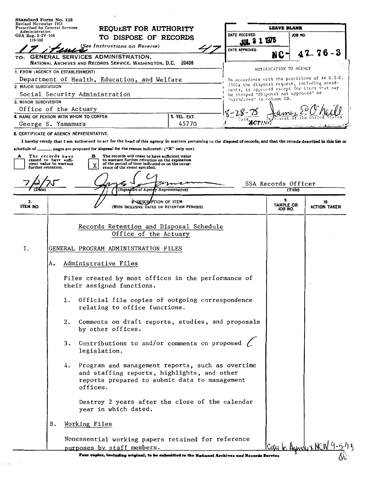| Prescribed by General Services               | Revised November 1951                        |                                                                                                   | <b>REOULST FOR AUTHORITY</b>                                                                                                        |                                                                                                                                                                           |                                                                                              | <b>LEAVE BLANK</b>         |         |                            |
|----------------------------------------------|----------------------------------------------|---------------------------------------------------------------------------------------------------|-------------------------------------------------------------------------------------------------------------------------------------|---------------------------------------------------------------------------------------------------------------------------------------------------------------------------|----------------------------------------------------------------------------------------------|----------------------------|---------|----------------------------|
| Administration<br>GSA Reg. $3-\text{IV}-106$ |                                              |                                                                                                   | TO DISPOSE OF RECORDS                                                                                                               |                                                                                                                                                                           | DATE RECEIVED                                                                                |                            | JOB NO. |                            |
| 115-103                                      |                                              |                                                                                                   | (See Instructions on Reverse)                                                                                                       |                                                                                                                                                                           | JUL 3 1 1975                                                                                 |                            |         |                            |
| TO:                                          |                                              | GENERAL SERVICES ADMINISTRATION,<br>NATIONAL ARCHIVES AND RECORDS SERVICE, WASHINGTON, D.C. 20408 |                                                                                                                                     |                                                                                                                                                                           | DATE APPROVED                                                                                | NC                         |         | 76-                        |
|                                              |                                              | 1. FROM (AGENCY OR ESTABLISHMENT)                                                                 |                                                                                                                                     |                                                                                                                                                                           |                                                                                              | NOTIFICATION TO AGENCY     |         |                            |
|                                              |                                              | Department of Health, Education, and Welfare                                                      |                                                                                                                                     |                                                                                                                                                                           | In accordance with the provisions of 44 U.S.C.                                               |                            |         |                            |
| 2. MAJOR SUBDIVISION                         |                                              |                                                                                                   |                                                                                                                                     |                                                                                                                                                                           | 3303a the disposal request, including amend-<br>ments, is approved except for items that may |                            |         |                            |
|                                              |                                              | Social Security Administration                                                                    |                                                                                                                                     |                                                                                                                                                                           | be stamped "disposal not approved" or<br>"withdrawn" in column 10.                           |                            |         |                            |
| 3. MINOR SUBDIVISION                         |                                              |                                                                                                   |                                                                                                                                     |                                                                                                                                                                           |                                                                                              |                            |         |                            |
|                                              |                                              | Office of the Actuary<br>4. NAME OF PERSON WITH WHOM TO CONFER                                    |                                                                                                                                     | 5. TEL. EXT.                                                                                                                                                              |                                                                                              |                            |         |                            |
| George S. Yamamura                           |                                              |                                                                                                   |                                                                                                                                     | 45770                                                                                                                                                                     | $\boldsymbol{c_{TING}}$                                                                      |                            |         |                            |
|                                              |                                              | 6. CERTIFICATE OF AGENCY REPRESENTATIVE:                                                          |                                                                                                                                     |                                                                                                                                                                           |                                                                                              |                            |         |                            |
|                                              |                                              |                                                                                                   |                                                                                                                                     | I hereby certify that I am authorized to act for the head of this agency in matters pertaining to the disposal of records, and that the records described in this list or |                                                                                              |                            |         |                            |
| schedule of $\rule{1em}{0.15mm}$             |                                              | pages are proposed for disposal for the reason indicated: ("X" only one)                          |                                                                                                                                     |                                                                                                                                                                           |                                                                                              |                            |         |                            |
|                                              | The records have<br>ceased to have suffi-    | в                                                                                                 | The records will cease to have sufficient value                                                                                     |                                                                                                                                                                           |                                                                                              |                            |         |                            |
|                                              | cient value to warrant<br>further retention. | х                                                                                                 | to warrant further retention on the expiration<br>of the period of time indicated or on the occur-<br>rence of the event specified. |                                                                                                                                                                           |                                                                                              |                            |         |                            |
|                                              |                                              |                                                                                                   |                                                                                                                                     |                                                                                                                                                                           |                                                                                              |                            |         |                            |
|                                              |                                              |                                                                                                   |                                                                                                                                     |                                                                                                                                                                           |                                                                                              | SSA Records Officer        |         |                            |
|                                              |                                              |                                                                                                   | Signature of Agency Representative)                                                                                                 |                                                                                                                                                                           |                                                                                              |                            | (Title) |                            |
| 7.<br>ITEM NO.                               |                                              |                                                                                                   | 8. DESCRAPTION OF ITEM<br>(WITH INCLUSIVE DATES OR RETENTION PERIODS)                                                               |                                                                                                                                                                           |                                                                                              | 9.<br>SAMPLE OR<br>JOB NO. |         | 10.<br><b>ACTION TAKEN</b> |
|                                              |                                              |                                                                                                   | Office of the Actuary                                                                                                               | Records Retention and Disposal Schedule                                                                                                                                   |                                                                                              |                            |         |                            |
| Ι.                                           |                                              | GENERAL PROGRAM ADMINISTRATION FILES                                                              |                                                                                                                                     |                                                                                                                                                                           |                                                                                              |                            |         |                            |
|                                              | А.                                           |                                                                                                   |                                                                                                                                     |                                                                                                                                                                           |                                                                                              |                            |         |                            |
|                                              |                                              | Administrative Files                                                                              |                                                                                                                                     |                                                                                                                                                                           |                                                                                              |                            |         |                            |
|                                              |                                              | their assigned functions.                                                                         |                                                                                                                                     | Files created by most offices in the performance of                                                                                                                       |                                                                                              |                            |         |                            |
|                                              |                                              | 1.                                                                                                | relating to office functions.                                                                                                       | Official file copies of outgoing correspondence                                                                                                                           |                                                                                              |                            |         |                            |
|                                              |                                              | 2.<br>by other offices.                                                                           |                                                                                                                                     | Comments on draft reports, studies, and proposals                                                                                                                         |                                                                                              |                            |         |                            |
|                                              |                                              | 3.<br>legislation.                                                                                |                                                                                                                                     | Contributions to and/or comments on proposed                                                                                                                              |                                                                                              |                            |         |                            |
|                                              |                                              | 4.<br>offices.                                                                                    |                                                                                                                                     | Program and management reports, such as overtime<br>and staffing reports, highlights, and other<br>reports prepared to submit data to management                          |                                                                                              |                            |         |                            |
|                                              |                                              |                                                                                                   | year in which dated.                                                                                                                | Destroy 2 years after the close of the calendar                                                                                                                           |                                                                                              |                            |         |                            |
|                                              | B.                                           | Working Files                                                                                     |                                                                                                                                     |                                                                                                                                                                           |                                                                                              |                            |         |                            |
|                                              |                                              |                                                                                                   |                                                                                                                                     | Nonessential working papers retained for reference                                                                                                                        |                                                                                              |                            |         |                            |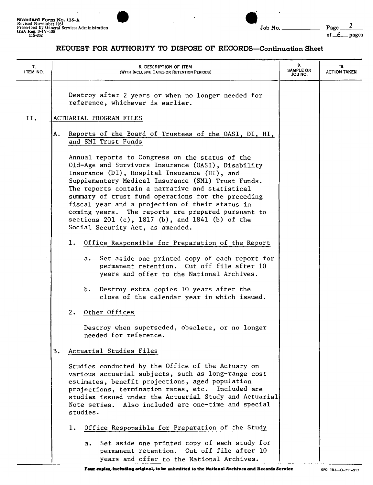

| 7.<br>ITEM NO. | 8. DESCRIPTION OF ITEM<br>(WITH INCLUSIVE DATES OR RETENTION PERIODS)                                                                                                                                                                                                                                                                                                                                                                                                                                                | 9.<br><b>SAMPLE OR</b><br>JOB NO. | 10.<br><b>ACTION TAKEN</b> |
|----------------|----------------------------------------------------------------------------------------------------------------------------------------------------------------------------------------------------------------------------------------------------------------------------------------------------------------------------------------------------------------------------------------------------------------------------------------------------------------------------------------------------------------------|-----------------------------------|----------------------------|
|                | Destroy after 2 years or when no longer needed for<br>reference, whichever is earlier.                                                                                                                                                                                                                                                                                                                                                                                                                               |                                   |                            |
| II.            | ACTUARIAL PROGRAM FILES                                                                                                                                                                                                                                                                                                                                                                                                                                                                                              |                                   |                            |
|                | Reports of the Board of Trustees of the OASI, DI, HI,<br>А.<br>and SMI Trust Funds                                                                                                                                                                                                                                                                                                                                                                                                                                   |                                   |                            |
|                | Annual reports to Congress on the status of the<br>Old-Age and Survivors Insurance (OASI), Disability<br>Insurance (DI), Hospital Insurance (HI), and<br>Supplementary Medical Insurance (SMI) Trust Funds.<br>The reports contain a narrative and statistical<br>summary of trust fund operations for the preceding<br>fiscal year and a projection of their status in<br>coming years. The reports are prepared pursuant to<br>sections 201 (c), 1817 (b), and 1841 (b) of the<br>Social Security Act, as amended. |                                   |                            |
|                | Office Responsible for Preparation of the Report<br>1.                                                                                                                                                                                                                                                                                                                                                                                                                                                               |                                   |                            |
|                | Set aside one printed copy of each report for<br>а.<br>permanent retention. Cut off file after 10<br>years and offer to the National Archives.                                                                                                                                                                                                                                                                                                                                                                       |                                   |                            |
|                | b. Destroy extra copies 10 years after the<br>close of the calendar year in which issued.                                                                                                                                                                                                                                                                                                                                                                                                                            |                                   |                            |
|                | 2. Other Offices                                                                                                                                                                                                                                                                                                                                                                                                                                                                                                     |                                   |                            |
|                | Destroy when superseded, obsolete, or no longer<br>needed for reference.                                                                                                                                                                                                                                                                                                                                                                                                                                             |                                   |                            |
|                | В.<br>Actuarial Studies Files                                                                                                                                                                                                                                                                                                                                                                                                                                                                                        |                                   |                            |
|                | Studies conducted by the Office of the Actuary on<br>various actuarial subjects, such as long-range cost<br>estimates, benefit projections, aged population<br>projections, termination rates, etc. Included are<br>studies issued under the Actuarial Study and Actuarial<br>Note series. Also included are one-time and special<br>studies.                                                                                                                                                                        |                                   |                            |
|                | Office Responsible for Preparation of the Study<br>ı.                                                                                                                                                                                                                                                                                                                                                                                                                                                                |                                   |                            |
|                | Set aside one printed copy of each study for<br>а.<br>permanent retention. Cut off file after 10<br>years and offer to the National Archives.                                                                                                                                                                                                                                                                                                                                                                        |                                   |                            |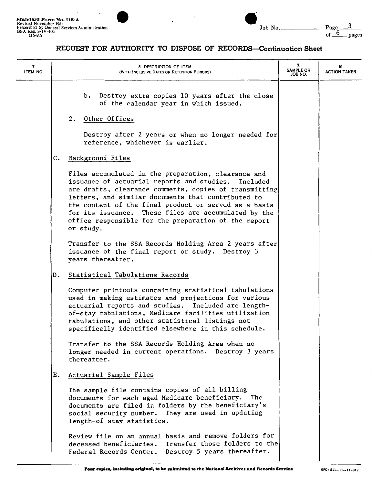



| 7.<br>ITEM NO. | 8. DESCRIPTION OF ITEM<br>(WITH INCLUSIVE DATES OR RETENTION PERIODS)                                                                                                                                                                                                                                                                                                                                               | 9.<br><b>SAMPLE OR</b><br>ON 8OL. | 10.<br><b>ACTION TAKEN</b> |
|----------------|---------------------------------------------------------------------------------------------------------------------------------------------------------------------------------------------------------------------------------------------------------------------------------------------------------------------------------------------------------------------------------------------------------------------|-----------------------------------|----------------------------|
|                | b. Destroy extra copies 10 years after the close<br>of the calendar year in which issued.<br>2.<br>Other Offices                                                                                                                                                                                                                                                                                                    |                                   |                            |
|                | Destroy after 2 years or when no longer needed for<br>reference, whichever is earlier.                                                                                                                                                                                                                                                                                                                              |                                   |                            |
|                | Background Files<br>c.                                                                                                                                                                                                                                                                                                                                                                                              |                                   |                            |
|                | Files accumulated in the preparation, clearance and<br>issuance of actuarial reports and studies.<br>Included<br>are drafts, clearance comments, copies of transmitting<br>letters, and similar documents that contributed to<br>the content of the final product or served as a basis<br>for its issuance. These files are accumulated by the<br>office responsible for the preparation of the report<br>or study. |                                   |                            |
|                | Transfer to the SSA Records Holding Area 2 years after<br>issuance of the final report or study. Destroy 3<br>years thereafter.                                                                                                                                                                                                                                                                                     |                                   |                            |
|                | Statistical Tabulations Records<br>D.                                                                                                                                                                                                                                                                                                                                                                               |                                   |                            |
|                | Computer printouts containing statistical tabulations<br>used in making estimates and projections for various<br>actuarial reports and studies. Included are length-<br>of-stay tabulations, Medicare facilities utilization<br>tabulations, and other statistical listings not<br>specifically identified elsewhere in this schedule.                                                                              |                                   |                            |
|                | Transfer to the SSA Records Holding Area when no<br>longer needed in current operations. Destroy 3 years<br>thereafter.                                                                                                                                                                                                                                                                                             |                                   |                            |
|                | Actuarial Sample Files<br>Е.                                                                                                                                                                                                                                                                                                                                                                                        |                                   |                            |
|                | The sample file contains copies of all billing<br>documents for each aged Medicare beneficiary. The<br>documents are filed in folders by the beneficiary's<br>social security number. They are used in updating<br>length-of-stay statistics.                                                                                                                                                                       |                                   |                            |
|                | Review file on an annual basis and remove folders for<br>deceased beneficiaries. Transfer those folders to the<br>Federal Records Center. Destroy 5 years thereafter.                                                                                                                                                                                                                                               |                                   |                            |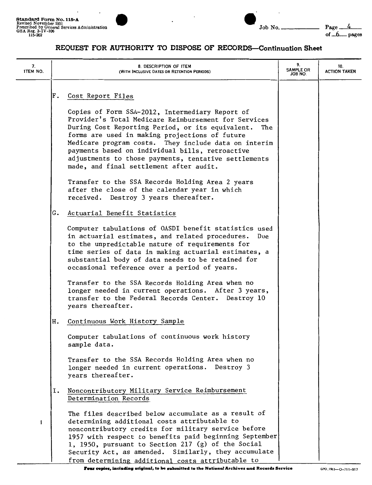$\overline{\phantom{a}}$ 





| 7.<br>ITEM NO. | 8. DESCRIPTION OF ITEM<br>(WITH INCLUSIVE DATES OR RETENTION PERIODS)                                                                                                                                                                                                                                                                                                                                                              | 9.<br><b>SAMPLE OR</b><br>JOB NO. | 10.<br><b>ACTION TAKEN</b> |
|----------------|------------------------------------------------------------------------------------------------------------------------------------------------------------------------------------------------------------------------------------------------------------------------------------------------------------------------------------------------------------------------------------------------------------------------------------|-----------------------------------|----------------------------|
|                | Cost Report Files<br>F.                                                                                                                                                                                                                                                                                                                                                                                                            |                                   |                            |
|                | Copies of Form SSA-2012, Intermediary Report of<br>Provider's Total Medicare Reimbursement for Services<br>During Cost Reporting Period, or its equivalent.<br>The<br>forms are used in making projections of future<br>Medicare program costs. They include data on interim<br>payments based on individual bills, retroactive<br>adjustments to those payments, tentative settlements<br>made, and final settlement after audit. |                                   |                            |
|                | Transfer to the SSA Records Holding Area 2 years<br>after the close of the calendar year in which<br>received. Destroy 3 years thereafter.                                                                                                                                                                                                                                                                                         |                                   |                            |
|                | Actuarial Benefit Statistics<br>G.                                                                                                                                                                                                                                                                                                                                                                                                 |                                   |                            |
|                | Computer tabulations of OASDI benefit statistics used<br>in actuarial estimates, and related procedures.<br>Due<br>to the unpredictable nature of requirements for<br>time series of data in making actuarial estimates, a<br>substantial body of data needs to be retained for<br>occasional reference over a period of years.                                                                                                    |                                   |                            |
|                | Transfer to the SSA Records Holding Area when no<br>longer needed in current operations. After 3 years,<br>transfer to the Federal Records Center. Destroy 10<br>years thereafter.                                                                                                                                                                                                                                                 |                                   |                            |
|                | Continuous Work History Sample<br>н.                                                                                                                                                                                                                                                                                                                                                                                               |                                   |                            |
|                | Computer tabulations of continuous work history<br>sample data.                                                                                                                                                                                                                                                                                                                                                                    |                                   |                            |
|                | Transfer to the SSA Records Holding Area when no<br>longer needed in current operations. Destroy 3<br>years thereafter.                                                                                                                                                                                                                                                                                                            |                                   |                            |
|                | Noncontributory Military Service Reimbursement<br>Ι.<br>Determination Records                                                                                                                                                                                                                                                                                                                                                      |                                   |                            |
| f              | The files described below accumulate as a result of<br>determining additional costs attributable to<br>noncontributory credits for military service before<br>1957 with respect to benefits paid beginning September<br>1, 1950, pursuant to Section 217 (g) of the Social<br>Security Act, as amended. Similarly, they accumulate<br>from determining additional costs attributable to                                            |                                   |                            |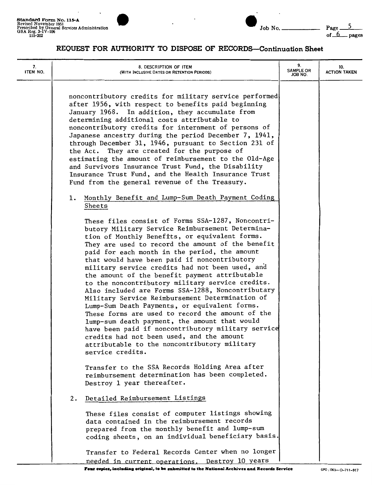$\overline{\phantom{a}}$ 





| 7.<br>ITEM NO. | 8. DESCRIPTION OF ITEM<br>(WITH INCLUSIVE DATES OR RETENTION PERIODS)                                                                                                                                                                                                                                                                                                                                                                                                                                                                                                                                                                                                                                                                                                                                                                                                                                       | 9.<br><b>SAMPLE OR</b><br>JOB NO. | 10.<br><b>ACTION TAKEN</b> |
|----------------|-------------------------------------------------------------------------------------------------------------------------------------------------------------------------------------------------------------------------------------------------------------------------------------------------------------------------------------------------------------------------------------------------------------------------------------------------------------------------------------------------------------------------------------------------------------------------------------------------------------------------------------------------------------------------------------------------------------------------------------------------------------------------------------------------------------------------------------------------------------------------------------------------------------|-----------------------------------|----------------------------|
|                | noncontributory credits for military service performed<br>after 1956, with respect to benefits paid beginning<br>January 1968. In addition, they accumulate from<br>determining additional costs attributable to<br>noncontributory credits for internment of persons of<br>Japanese ancestry during the period December 7, 1941,<br>through December 31, 1946, pursuant to Section 231 of<br>the Act. They are created for the purpose of<br>estimating the amount of reimbursement to the Old-Age<br>and Survivors Insurance Trust Fund, the Disability<br>Insurance Trust Fund, and the Health Insurance Trust<br>Fund from the general revenue of the Treasury.                                                                                                                                                                                                                                         |                                   |                            |
|                | 1. Monthly Benefit and Lump-Sum Death Payment Coding<br>Sheets                                                                                                                                                                                                                                                                                                                                                                                                                                                                                                                                                                                                                                                                                                                                                                                                                                              |                                   |                            |
|                | These files consist of Forms SSA-1287, Noncontri-<br>butory Military Service Reimbursement Determina-<br>tion of Monthly Benefits, or equivalent forms.<br>They are used to record the amount of the benefit<br>paid for each month in the period, the amount<br>that would have been paid if noncontributory<br>military service credits had not been used, and<br>the amount of the benefit payment attributable<br>to the noncontributory military service credits.<br>Also included are Forms SSA-1288, Noncontributary<br>Military Service Reimbursement Determination of<br>Lump-Sum Death Payments, or equivalent forms.<br>These forms are used to record the amount of the<br>lump-sum death payment, the amount that would<br>have been paid if noncontributory military service<br>credits had not been used, and the amount<br>attributable to the noncontributory military<br>service credits. |                                   |                            |
|                | Transfer to the SSA Records Holding Area after<br>reimbursement determination has been completed.<br>Destroy 1 year thereafter.                                                                                                                                                                                                                                                                                                                                                                                                                                                                                                                                                                                                                                                                                                                                                                             |                                   |                            |
|                | Detailed Reimbursement Listings<br>2.<br>These files consist of computer listings showing<br>data contained in the reimbursement records<br>prepared from the monthly benefit and lump-sum<br>coding sheets, on an individual beneficiary basis.                                                                                                                                                                                                                                                                                                                                                                                                                                                                                                                                                                                                                                                            |                                   |                            |
|                | Transfer to Federal Records Center when no longer<br>needed in current operations. Destroy 10 years                                                                                                                                                                                                                                                                                                                                                                                                                                                                                                                                                                                                                                                                                                                                                                                                         |                                   |                            |